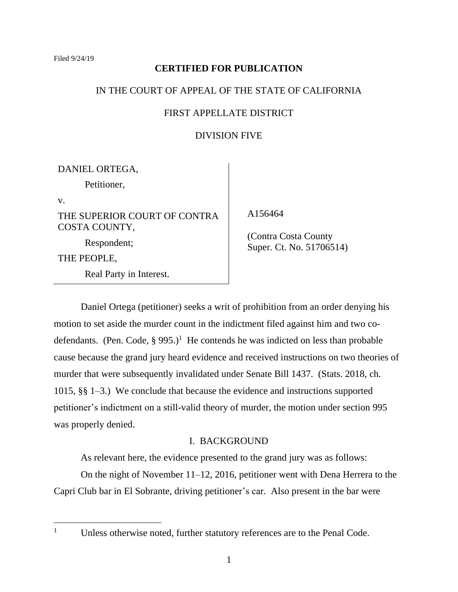# **CERTIFIED FOR PUBLICATION**

## IN THE COURT OF APPEAL OF THE STATE OF CALIFORNIA

## FIRST APPELLATE DISTRICT

## DIVISION FIVE

DANIEL ORTEGA,

Petitioner,

v.

THE SUPERIOR COURT OF CONTRA COSTA COUNTY,

Respondent; THE PEOPLE, Real Party in Interest. A156464

 (Contra Costa County Super. Ct. No. 51706514)

Daniel Ortega (petitioner) seeks a writ of prohibition from an order denying his motion to set aside the murder count in the indictment filed against him and two codefendants. (Pen. Code,  $\S 995.$ )<sup>1</sup> He contends he was indicted on less than probable cause because the grand jury heard evidence and received instructions on two theories of murder that were subsequently invalidated under Senate Bill 1437. (Stats. 2018, ch. 1015, §§ 1–3.) We conclude that because the evidence and instructions supported petitioner's indictment on a still-valid theory of murder, the motion under section 995 was properly denied.

## I. BACKGROUND

As relevant here, the evidence presented to the grand jury was as follows:

On the night of November 11–12, 2016, petitioner went with Dena Herrera to the Capri Club bar in El Sobrante, driving petitioner's car. Also present in the bar were

<sup>&</sup>lt;sup>1</sup> Unless otherwise noted, further statutory references are to the Penal Code.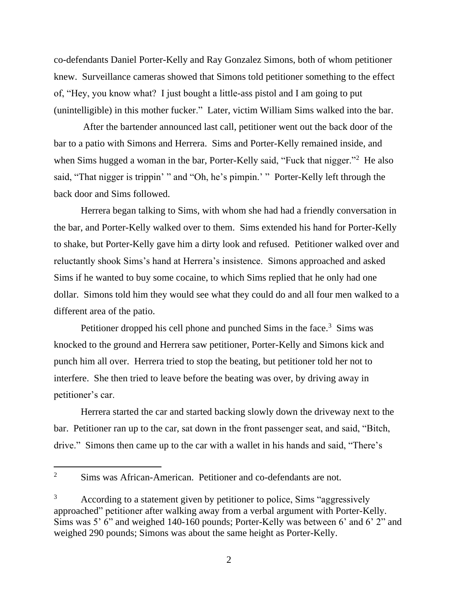co-defendants Daniel Porter-Kelly and Ray Gonzalez Simons, both of whom petitioner knew. Surveillance cameras showed that Simons told petitioner something to the effect of, "Hey, you know what? I just bought a little-ass pistol and I am going to put (unintelligible) in this mother fucker." Later, victim William Sims walked into the bar.

After the bartender announced last call, petitioner went out the back door of the bar to a patio with Simons and Herrera. Sims and Porter-Kelly remained inside, and when Sims hugged a woman in the bar, Porter-Kelly said, "Fuck that nigger."<sup>2</sup> He also said, "That nigger is trippin' " and "Oh, he's pimpin.' " Porter-Kelly left through the back door and Sims followed.

Herrera began talking to Sims, with whom she had had a friendly conversation in the bar, and Porter-Kelly walked over to them. Sims extended his hand for Porter-Kelly to shake, but Porter-Kelly gave him a dirty look and refused. Petitioner walked over and reluctantly shook Sims's hand at Herrera's insistence. Simons approached and asked Sims if he wanted to buy some cocaine, to which Sims replied that he only had one dollar. Simons told him they would see what they could do and all four men walked to a different area of the patio.

Petitioner dropped his cell phone and punched Sims in the face.<sup>3</sup> Sims was knocked to the ground and Herrera saw petitioner, Porter-Kelly and Simons kick and punch him all over. Herrera tried to stop the beating, but petitioner told her not to interfere. She then tried to leave before the beating was over, by driving away in petitioner's car.

Herrera started the car and started backing slowly down the driveway next to the bar. Petitioner ran up to the car, sat down in the front passenger seat, and said, "Bitch, drive." Simons then came up to the car with a wallet in his hands and said, "There's

 $2^2$  Sims was African-American. Petitioner and co-defendants are not.

<sup>&</sup>lt;sup>3</sup> According to a statement given by petitioner to police, Sims "aggressively approached" petitioner after walking away from a verbal argument with Porter-Kelly. Sims was 5' 6" and weighed 140-160 pounds; Porter-Kelly was between 6' and 6' 2" and weighed 290 pounds; Simons was about the same height as Porter-Kelly.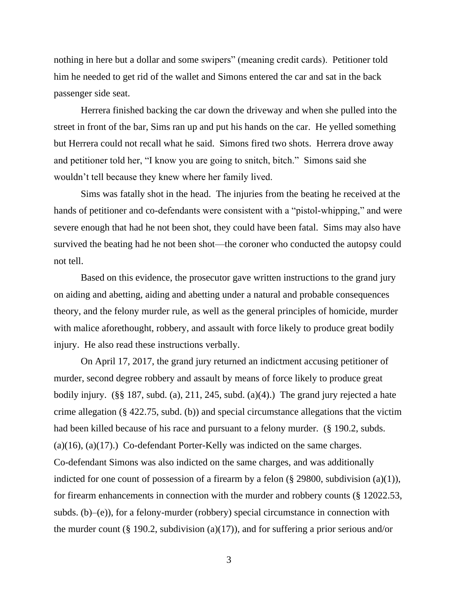nothing in here but a dollar and some swipers" (meaning credit cards). Petitioner told him he needed to get rid of the wallet and Simons entered the car and sat in the back passenger side seat.

Herrera finished backing the car down the driveway and when she pulled into the street in front of the bar, Sims ran up and put his hands on the car. He yelled something but Herrera could not recall what he said. Simons fired two shots. Herrera drove away and petitioner told her, "I know you are going to snitch, bitch." Simons said she wouldn't tell because they knew where her family lived.

Sims was fatally shot in the head. The injuries from the beating he received at the hands of petitioner and co-defendants were consistent with a "pistol-whipping," and were severe enough that had he not been shot, they could have been fatal. Sims may also have survived the beating had he not been shot—the coroner who conducted the autopsy could not tell.

Based on this evidence, the prosecutor gave written instructions to the grand jury on aiding and abetting, aiding and abetting under a natural and probable consequences theory, and the felony murder rule, as well as the general principles of homicide, murder with malice aforethought, robbery, and assault with force likely to produce great bodily injury. He also read these instructions verbally.

On April 17, 2017, the grand jury returned an indictment accusing petitioner of murder, second degree robbery and assault by means of force likely to produce great bodily injury. (§§ 187, subd. (a), 211, 245, subd. (a)(4).) The grand jury rejected a hate crime allegation (§ 422.75, subd. (b)) and special circumstance allegations that the victim had been killed because of his race and pursuant to a felony murder. (§ 190.2, subds. (a)(16), (a)(17).) Co-defendant Porter-Kelly was indicted on the same charges. Co-defendant Simons was also indicted on the same charges, and was additionally indicted for one count of possession of a firearm by a felon (§ 29800, subdivision (a)(1)), for firearm enhancements in connection with the murder and robbery counts (§ 12022.53, subds. (b)–(e)), for a felony-murder (robbery) special circumstance in connection with the murder count (§ 190.2, subdivision (a)(17)), and for suffering a prior serious and/or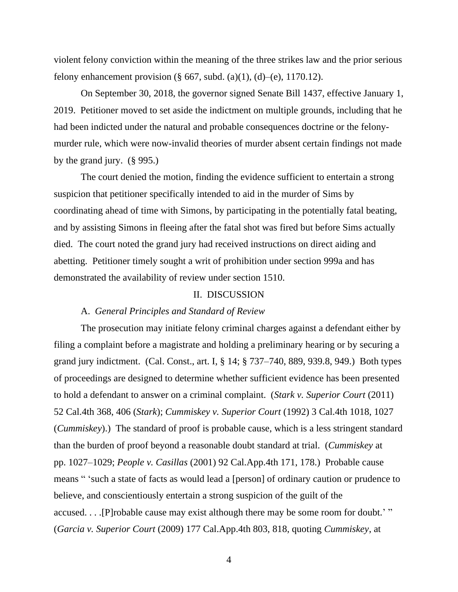violent felony conviction within the meaning of the three strikes law and the prior serious felony enhancement provision  $(\S 667, \text{subd}, (a)(1), (d)–(e), 1170.12)$ .

On September 30, 2018, the governor signed Senate Bill 1437, effective January 1, 2019. Petitioner moved to set aside the indictment on multiple grounds, including that he had been indicted under the natural and probable consequences doctrine or the felonymurder rule, which were now-invalid theories of murder absent certain findings not made by the grand jury. (§ 995.)

The court denied the motion, finding the evidence sufficient to entertain a strong suspicion that petitioner specifically intended to aid in the murder of Sims by coordinating ahead of time with Simons, by participating in the potentially fatal beating, and by assisting Simons in fleeing after the fatal shot was fired but before Sims actually died. The court noted the grand jury had received instructions on direct aiding and abetting. Petitioner timely sought a writ of prohibition under section 999a and has demonstrated the availability of review under section 1510.

#### II. DISCUSSION

#### A. *General Principles and Standard of Review*

The prosecution may initiate felony criminal charges against a defendant either by filing a complaint before a magistrate and holding a preliminary hearing or by securing a grand jury indictment. (Cal. Const., art. I, § 14; § 737–740, 889, 939.8, 949.) Both types of proceedings are designed to determine whether sufficient evidence has been presented to hold a defendant to answer on a criminal complaint. (*Stark v. Superior Court* (2011) 52 Cal.4th 368, 406 (*Stark*); *Cummiskey v. Superior Court* (1992) 3 Cal.4th 1018, 1027 (*Cummiskey*).) The standard of proof is probable cause, which is a less stringent standard than the burden of proof beyond a reasonable doubt standard at trial. (*Cummiskey* at pp. 1027–1029; *People v. Casillas* (2001) 92 Cal.App.4th 171, 178.) Probable cause means " 'such a state of facts as would lead a [person] of ordinary caution or prudence to believe, and conscientiously entertain a strong suspicion of the guilt of the accused. . . .[P]robable cause may exist although there may be some room for doubt.' " (*Garcia v. Superior Court* (2009) 177 Cal.App.4th 803, 818, quoting *Cummiskey*, at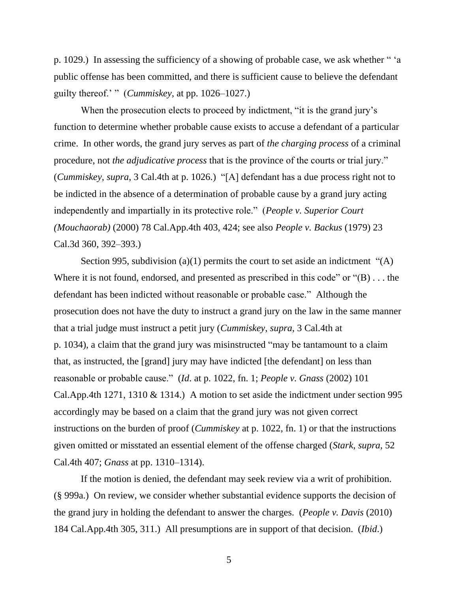p. 1029.) In assessing the sufficiency of a showing of probable case, we ask whether " 'a public offense has been committed, and there is sufficient cause to believe the defendant guilty thereof.' " (*Cummiskey*, at pp. 1026–1027.)

When the prosecution elects to proceed by indictment, "it is the grand jury's function to determine whether probable cause exists to accuse a defendant of a particular crime. In other words, the grand jury serves as part of *the charging process* of a criminal procedure, not *the adjudicative process* that is the province of the courts or trial jury." (*Cummiskey*, *supra*, 3 Cal.4th at p. 1026.) "[A] defendant has a due process right not to be indicted in the absence of a determination of probable cause by a grand jury acting independently and impartially in its protective role." (*People v. Superior Court (Mouchaorab)* (2000) 78 Cal.App.4th 403, 424; see also *People v. Backus* (1979) 23 Cal.3d 360, 392–393.)

Section 995, subdivision (a)(1) permits the court to set aside an indictment "(A) Where it is not found, endorsed, and presented as prescribed in this code" or " $(B) \ldots$  the defendant has been indicted without reasonable or probable case." Although the prosecution does not have the duty to instruct a grand jury on the law in the same manner that a trial judge must instruct a petit jury (*Cummiskey*, *supra*, 3 Cal.4th at p. 1034), a claim that the grand jury was misinstructed "may be tantamount to a claim that, as instructed, the [grand] jury may have indicted [the defendant] on less than reasonable or probable cause." (*Id*. at p. 1022, fn. 1; *People v. Gnass* (2002) 101 Cal.App.4th 1271, 1310 & 1314.) A motion to set aside the indictment under section 995 accordingly may be based on a claim that the grand jury was not given correct instructions on the burden of proof (*Cummiskey* at p. 1022, fn. 1) or that the instructions given omitted or misstated an essential element of the offense charged (*Stark*, *supra*, 52 Cal.4th 407; *Gnass* at pp. 1310–1314).

If the motion is denied, the defendant may seek review via a writ of prohibition. (§ 999a.) On review, we consider whether substantial evidence supports the decision of the grand jury in holding the defendant to answer the charges. (*People v. Davis* (2010) 184 Cal.App.4th 305, 311.) All presumptions are in support of that decision. (*Ibid*.)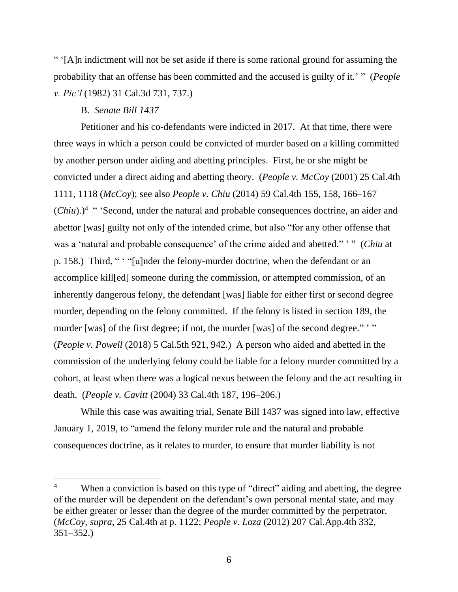" '[A]n indictment will not be set aside if there is some rational ground for assuming the probability that an offense has been committed and the accused is guilty of it.' " (*People v. Pic'l* (1982) 31 Cal.3d 731, 737.)

### B. *Senate Bill 1437*

Petitioner and his co-defendants were indicted in 2017. At that time, there were three ways in which a person could be convicted of murder based on a killing committed by another person under aiding and abetting principles. First, he or she might be convicted under a direct aiding and abetting theory. (*People v. McCoy* (2001) 25 Cal.4th 1111, 1118 (*McCoy*); see also *People v. Chiu* (2014) 59 Cal.4th 155, 158, 166–167  $(Chiu).$ <sup>4</sup> " 'Second, under the natural and probable consequences doctrine, an aider and abettor [was] guilty not only of the intended crime, but also "for any other offense that was a 'natural and probable consequence' of the crime aided and abetted." ' " (*Chiu* at p. 158.) Third, " ' "[u]nder the felony-murder doctrine, when the defendant or an accomplice kill[ed] someone during the commission, or attempted commission, of an inherently dangerous felony, the defendant [was] liable for either first or second degree murder, depending on the felony committed. If the felony is listed in section 189, the murder [was] of the first degree; if not, the murder [was] of the second degree." '" (*People v. Powell* (2018) 5 Cal.5th 921, 942.) A person who aided and abetted in the commission of the underlying felony could be liable for a felony murder committed by a cohort, at least when there was a logical nexus between the felony and the act resulting in death. (*People v. Cavitt* (2004) 33 Cal.4th 187, 196–206.)

While this case was awaiting trial, Senate Bill 1437 was signed into law, effective January 1, 2019, to "amend the felony murder rule and the natural and probable consequences doctrine, as it relates to murder, to ensure that murder liability is not

<sup>&</sup>lt;sup>4</sup> When a conviction is based on this type of "direct" aiding and abetting, the degree of the murder will be dependent on the defendant's own personal mental state, and may be either greater or lesser than the degree of the murder committed by the perpetrator. (*McCoy*, *supra*, 25 Cal.4th at p. 1122; *People v. Loza* (2012) 207 Cal.App.4th 332, 351–352.)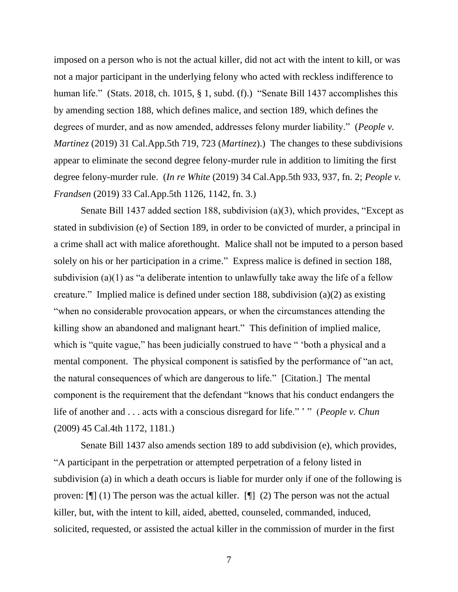imposed on a person who is not the actual killer, did not act with the intent to kill, or was not a major participant in the underlying felony who acted with reckless indifference to human life." (Stats. 2018, ch. 1015, § 1, subd. (f).) "Senate Bill 1437 accomplishes this by amending section 188, which defines malice, and section 189, which defines the degrees of murder, and as now amended, addresses felony murder liability." (*People v. Martinez* (2019) 31 Cal.App.5th 719, 723 (*Martinez*).) The changes to these subdivisions appear to eliminate the second degree felony-murder rule in addition to limiting the first degree felony-murder rule. (*In re White* (2019) 34 Cal.App.5th 933, 937, fn. 2; *People v. Frandsen* (2019) 33 Cal.App.5th 1126, 1142, fn. 3.)

Senate Bill 1437 added section 188, subdivision (a)(3), which provides, "Except as stated in subdivision (e) of Section 189, in order to be convicted of murder, a principal in a crime shall act with malice aforethought. Malice shall not be imputed to a person based solely on his or her participation in a crime." Express malice is defined in section 188, subdivision (a)(1) as "a deliberate intention to unlawfully take away the life of a fellow creature." Implied malice is defined under section 188, subdivision (a)(2) as existing "when no considerable provocation appears, or when the circumstances attending the killing show an abandoned and malignant heart." This definition of implied malice, which is "quite vague," has been judicially construed to have " 'both a physical and a mental component. The physical component is satisfied by the performance of "an act, the natural consequences of which are dangerous to life." [Citation.] The mental component is the requirement that the defendant "knows that his conduct endangers the life of another and . . . acts with a conscious disregard for life." ' " (*People v. Chun* (2009) 45 Cal.4th 1172, 1181.)

Senate Bill 1437 also amends section 189 to add subdivision (e), which provides, "A participant in the perpetration or attempted perpetration of a felony listed in subdivision (a) in which a death occurs is liable for murder only if one of the following is proven: [¶] (1) The person was the actual killer. [¶] (2) The person was not the actual killer, but, with the intent to kill, aided, abetted, counseled, commanded, induced, solicited, requested, or assisted the actual killer in the commission of murder in the first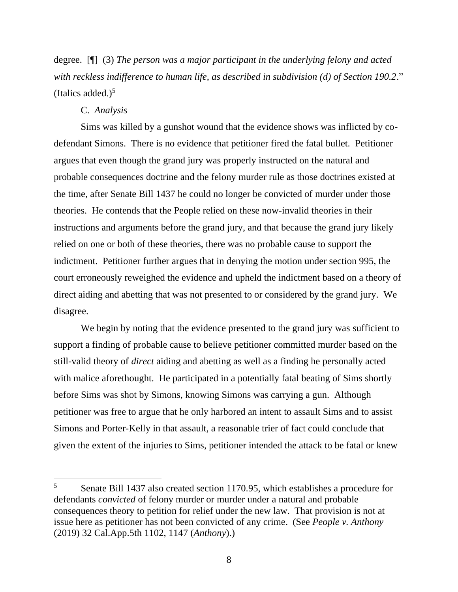degree. [¶] (3) *The person was a major participant in the underlying felony and acted with reckless indifference to human life, as described in subdivision (d) of Section 190.2*." (Italics added.) $<sup>5</sup>$ </sup>

### C. *Analysis*

Sims was killed by a gunshot wound that the evidence shows was inflicted by codefendant Simons. There is no evidence that petitioner fired the fatal bullet. Petitioner argues that even though the grand jury was properly instructed on the natural and probable consequences doctrine and the felony murder rule as those doctrines existed at the time, after Senate Bill 1437 he could no longer be convicted of murder under those theories. He contends that the People relied on these now-invalid theories in their instructions and arguments before the grand jury, and that because the grand jury likely relied on one or both of these theories, there was no probable cause to support the indictment. Petitioner further argues that in denying the motion under section 995, the court erroneously reweighed the evidence and upheld the indictment based on a theory of direct aiding and abetting that was not presented to or considered by the grand jury. We disagree.

We begin by noting that the evidence presented to the grand jury was sufficient to support a finding of probable cause to believe petitioner committed murder based on the still-valid theory of *direct* aiding and abetting as well as a finding he personally acted with malice aforethought. He participated in a potentially fatal beating of Sims shortly before Sims was shot by Simons, knowing Simons was carrying a gun. Although petitioner was free to argue that he only harbored an intent to assault Sims and to assist Simons and Porter-Kelly in that assault, a reasonable trier of fact could conclude that given the extent of the injuries to Sims, petitioner intended the attack to be fatal or knew

<sup>5</sup> Senate Bill 1437 also created section 1170.95, which establishes a procedure for defendants *convicted* of felony murder or murder under a natural and probable consequences theory to petition for relief under the new law. That provision is not at issue here as petitioner has not been convicted of any crime. (See *People v. Anthony* (2019) 32 Cal.App.5th 1102, 1147 (*Anthony*).)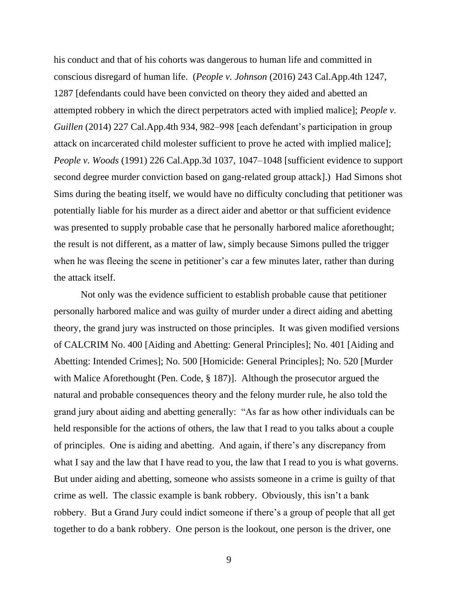his conduct and that of his cohorts was dangerous to human life and committed in conscious disregard of human life. (*People v. Johnson* (2016) 243 Cal.App.4th 1247, 1287 [defendants could have been convicted on theory they aided and abetted an attempted robbery in which the direct perpetrators acted with implied malice]; *People v. Guillen* (2014) 227 Cal.App.4th 934, 982–998 [each defendant's participation in group attack on incarcerated child molester sufficient to prove he acted with implied malice]; *People v. Woods* (1991) 226 Cal.App.3d 1037, 1047–1048 [sufficient evidence to support second degree murder conviction based on gang-related group attack].) Had Simons shot Sims during the beating itself, we would have no difficulty concluding that petitioner was potentially liable for his murder as a direct aider and abettor or that sufficient evidence was presented to supply probable case that he personally harbored malice aforethought; the result is not different, as a matter of law, simply because Simons pulled the trigger when he was fleeing the scene in petitioner's car a few minutes later, rather than during the attack itself.

Not only was the evidence sufficient to establish probable cause that petitioner personally harbored malice and was guilty of murder under a direct aiding and abetting theory, the grand jury was instructed on those principles. It was given modified versions of CALCRIM No. 400 [Aiding and Abetting: General Principles]; No. 401 [Aiding and Abetting: Intended Crimes]; No. 500 [Homicide: General Principles]; No. 520 [Murder with Malice Aforethought (Pen. Code, § 187)]. Although the prosecutor argued the natural and probable consequences theory and the felony murder rule, he also told the grand jury about aiding and abetting generally: "As far as how other individuals can be held responsible for the actions of others, the law that I read to you talks about a couple of principles. One is aiding and abetting. And again, if there's any discrepancy from what I say and the law that I have read to you, the law that I read to you is what governs. But under aiding and abetting, someone who assists someone in a crime is guilty of that crime as well. The classic example is bank robbery. Obviously, this isn't a bank robbery. But a Grand Jury could indict someone if there's a group of people that all get together to do a bank robbery. One person is the lookout, one person is the driver, one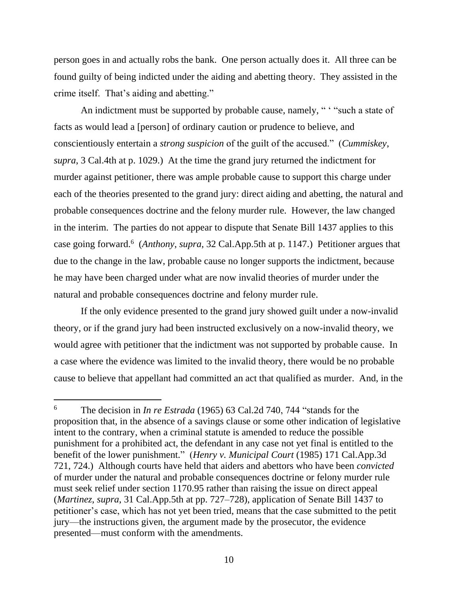person goes in and actually robs the bank. One person actually does it. All three can be found guilty of being indicted under the aiding and abetting theory. They assisted in the crime itself. That's aiding and abetting."

An indictment must be supported by probable cause, namely, " "such a state of facts as would lead a [person] of ordinary caution or prudence to believe, and conscientiously entertain a *strong suspicion* of the guilt of the accused." (*Cummiskey*, *supra*, 3 Cal.4th at p. 1029.) At the time the grand jury returned the indictment for murder against petitioner, there was ample probable cause to support this charge under each of the theories presented to the grand jury: direct aiding and abetting, the natural and probable consequences doctrine and the felony murder rule. However, the law changed in the interim. The parties do not appear to dispute that Senate Bill 1437 applies to this case going forward.<sup>6</sup> (*Anthony*, *supra*, 32 Cal.App.5th at p. 1147.) Petitioner argues that due to the change in the law, probable cause no longer supports the indictment, because he may have been charged under what are now invalid theories of murder under the natural and probable consequences doctrine and felony murder rule.

If the only evidence presented to the grand jury showed guilt under a now-invalid theory, or if the grand jury had been instructed exclusively on a now-invalid theory, we would agree with petitioner that the indictment was not supported by probable cause. In a case where the evidence was limited to the invalid theory, there would be no probable cause to believe that appellant had committed an act that qualified as murder. And, in the

<sup>6</sup> The decision in *In re Estrada* (1965) 63 Cal.2d 740, 744 "stands for the proposition that, in the absence of a savings clause or some other indication of legislative intent to the contrary, when a criminal statute is amended to reduce the possible punishment for a prohibited act, the defendant in any case not yet final is entitled to the benefit of the lower punishment." (*Henry v. Municipal Court* (1985) 171 Cal.App.3d 721, 724.) Although courts have held that aiders and abettors who have been *convicted* of murder under the natural and probable consequences doctrine or felony murder rule must seek relief under section 1170.95 rather than raising the issue on direct appeal (*Martinez*, *supra*, 31 Cal.App.5th at pp. 727–728), application of Senate Bill 1437 to petitioner's case, which has not yet been tried, means that the case submitted to the petit jury—the instructions given, the argument made by the prosecutor, the evidence presented—must conform with the amendments.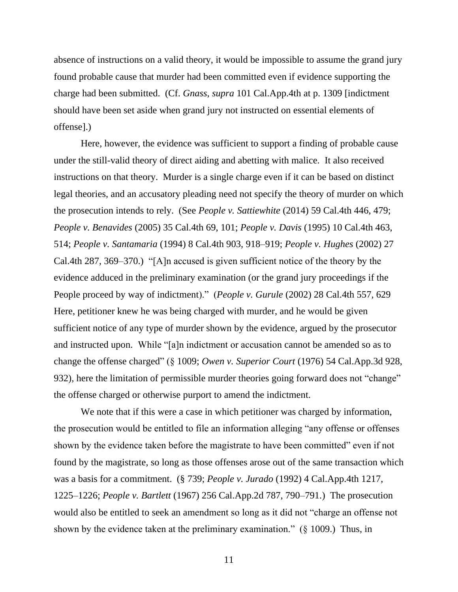absence of instructions on a valid theory, it would be impossible to assume the grand jury found probable cause that murder had been committed even if evidence supporting the charge had been submitted. (Cf. *Gnass*, *supra* 101 Cal.App.4th at p. 1309 [indictment should have been set aside when grand jury not instructed on essential elements of offense].)

Here, however, the evidence was sufficient to support a finding of probable cause under the still-valid theory of direct aiding and abetting with malice. It also received instructions on that theory. Murder is a single charge even if it can be based on distinct legal theories, and an accusatory pleading need not specify the theory of murder on which the prosecution intends to rely. (See *People v. Sattiewhite* (2014) 59 Cal.4th 446, 479; *People v. Benavides* (2005) 35 Cal.4th 69, 101; *People v. Davis* (1995) 10 Cal.4th 463, 514; *People v. Santamaria* (1994) 8 Cal.4th 903, 918–919; *People v. Hughes* (2002) 27 Cal.4th 287, 369–370.) "[A]n accused is given sufficient notice of the theory by the evidence adduced in the preliminary examination (or the grand jury proceedings if the People proceed by way of indictment)." (*People v. Gurule* (2002) 28 Cal.4th 557, 629 Here, petitioner knew he was being charged with murder, and he would be given sufficient notice of any type of murder shown by the evidence, argued by the prosecutor and instructed upon. While "[a]n indictment or accusation cannot be amended so as to change the offense charged" (§ 1009; *Owen v. Superior Court* (1976) 54 Cal.App.3d 928, 932), here the limitation of permissible murder theories going forward does not "change" the offense charged or otherwise purport to amend the indictment.

We note that if this were a case in which petitioner was charged by information, the prosecution would be entitled to file an information alleging "any offense or offenses shown by the evidence taken before the magistrate to have been committed" even if not found by the magistrate, so long as those offenses arose out of the same transaction which was a basis for a commitment. (§ 739; *People v. Jurado* (1992) 4 Cal.App.4th 1217, 1225–1226; *People v. Bartlett* (1967) 256 Cal.App.2d 787, 790–791.) The prosecution would also be entitled to seek an amendment so long as it did not "charge an offense not shown by the evidence taken at the preliminary examination." (§ 1009.) Thus, in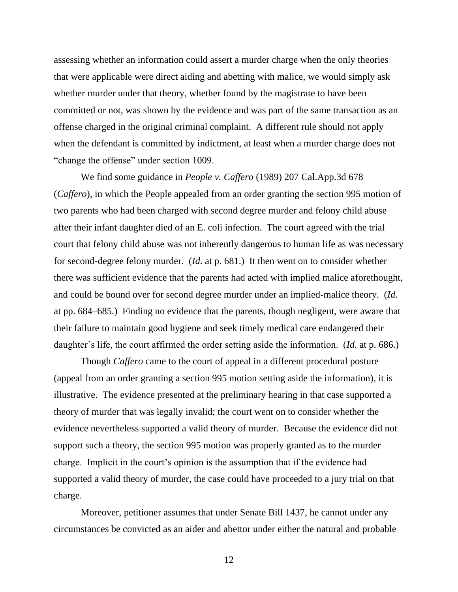assessing whether an information could assert a murder charge when the only theories that were applicable were direct aiding and abetting with malice, we would simply ask whether murder under that theory, whether found by the magistrate to have been committed or not, was shown by the evidence and was part of the same transaction as an offense charged in the original criminal complaint. A different rule should not apply when the defendant is committed by indictment, at least when a murder charge does not "change the offense" under section 1009.

We find some guidance in *People v. Caffero* (1989) 207 Cal.App.3d 678 (*Caffero*), in which the People appealed from an order granting the section 995 motion of two parents who had been charged with second degree murder and felony child abuse after their infant daughter died of an E. coli infection. The court agreed with the trial court that felony child abuse was not inherently dangerous to human life as was necessary for second-degree felony murder. (*Id*. at p. 681.) It then went on to consider whether there was sufficient evidence that the parents had acted with implied malice aforethought, and could be bound over for second degree murder under an implied-malice theory. (*Id*. at pp. 684–685.) Finding no evidence that the parents, though negligent, were aware that their failure to maintain good hygiene and seek timely medical care endangered their daughter's life, the court affirmed the order setting aside the information. (*Id.* at p. 686.)

Though *Caffero* came to the court of appeal in a different procedural posture (appeal from an order granting a section 995 motion setting aside the information), it is illustrative. The evidence presented at the preliminary hearing in that case supported a theory of murder that was legally invalid; the court went on to consider whether the evidence nevertheless supported a valid theory of murder. Because the evidence did not support such a theory, the section 995 motion was properly granted as to the murder charge. Implicit in the court's opinion is the assumption that if the evidence had supported a valid theory of murder, the case could have proceeded to a jury trial on that charge.

Moreover, petitioner assumes that under Senate Bill 1437, he cannot under any circumstances be convicted as an aider and abettor under either the natural and probable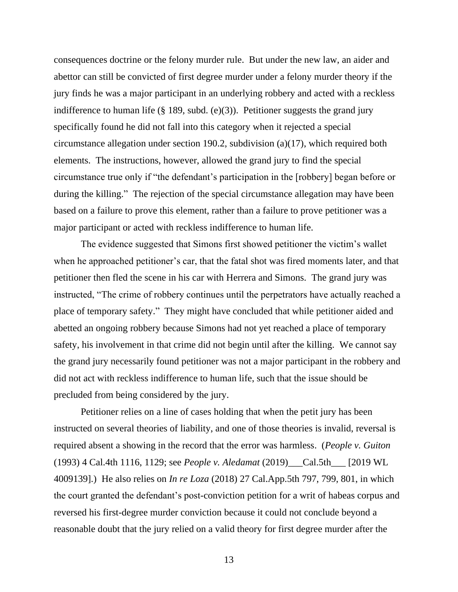consequences doctrine or the felony murder rule. But under the new law, an aider and abettor can still be convicted of first degree murder under a felony murder theory if the jury finds he was a major participant in an underlying robbery and acted with a reckless indifference to human life  $(\S 189, \text{subd.} (e)(3))$ . Petitioner suggests the grand jury specifically found he did not fall into this category when it rejected a special circumstance allegation under section 190.2, subdivision (a)(17), which required both elements. The instructions, however, allowed the grand jury to find the special circumstance true only if "the defendant's participation in the [robbery] began before or during the killing." The rejection of the special circumstance allegation may have been based on a failure to prove this element, rather than a failure to prove petitioner was a major participant or acted with reckless indifference to human life.

The evidence suggested that Simons first showed petitioner the victim's wallet when he approached petitioner's car, that the fatal shot was fired moments later, and that petitioner then fled the scene in his car with Herrera and Simons. The grand jury was instructed, "The crime of robbery continues until the perpetrators have actually reached a place of temporary safety." They might have concluded that while petitioner aided and abetted an ongoing robbery because Simons had not yet reached a place of temporary safety, his involvement in that crime did not begin until after the killing. We cannot say the grand jury necessarily found petitioner was not a major participant in the robbery and did not act with reckless indifference to human life, such that the issue should be precluded from being considered by the jury.

Petitioner relies on a line of cases holding that when the petit jury has been instructed on several theories of liability, and one of those theories is invalid, reversal is required absent a showing in the record that the error was harmless. (*People v. Guiton* (1993) 4 Cal.4th 1116, 1129; see *People v. Aledamat* (2019)\_\_\_Cal.5th\_\_\_ [2019 WL 4009139].) He also relies on *In re Loza* (2018) 27 Cal.App.5th 797, 799, 801, in which the court granted the defendant's post-conviction petition for a writ of habeas corpus and reversed his first-degree murder conviction because it could not conclude beyond a reasonable doubt that the jury relied on a valid theory for first degree murder after the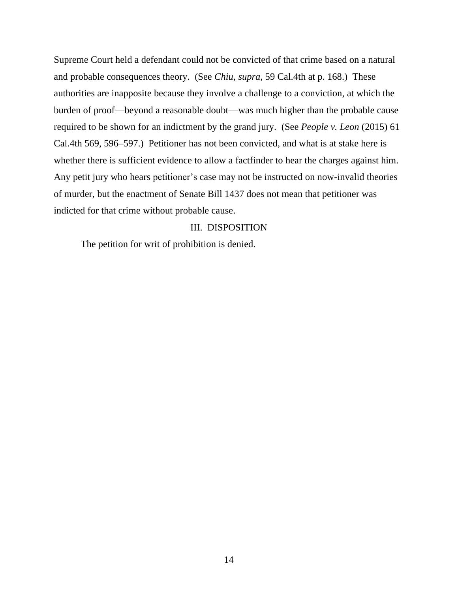Supreme Court held a defendant could not be convicted of that crime based on a natural and probable consequences theory. (See *Chiu*, *supra*, 59 Cal.4th at p. 168.) These authorities are inapposite because they involve a challenge to a conviction, at which the burden of proof—beyond a reasonable doubt—was much higher than the probable cause required to be shown for an indictment by the grand jury. (See *People v. Leon* (2015) 61 Cal.4th 569, 596–597.) Petitioner has not been convicted, and what is at stake here is whether there is sufficient evidence to allow a factfinder to hear the charges against him. Any petit jury who hears petitioner's case may not be instructed on now-invalid theories of murder, but the enactment of Senate Bill 1437 does not mean that petitioner was indicted for that crime without probable cause.

### III. DISPOSITION

The petition for writ of prohibition is denied.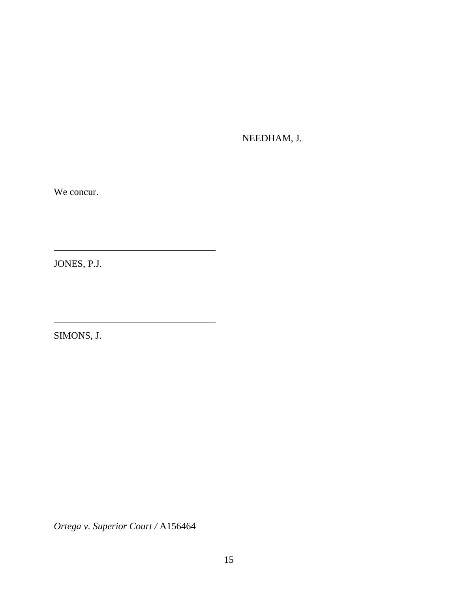NEEDHAM, J.

We concur.

JONES, P.J.

SIMONS, J.

*Ortega v. Superior Court /* A156464